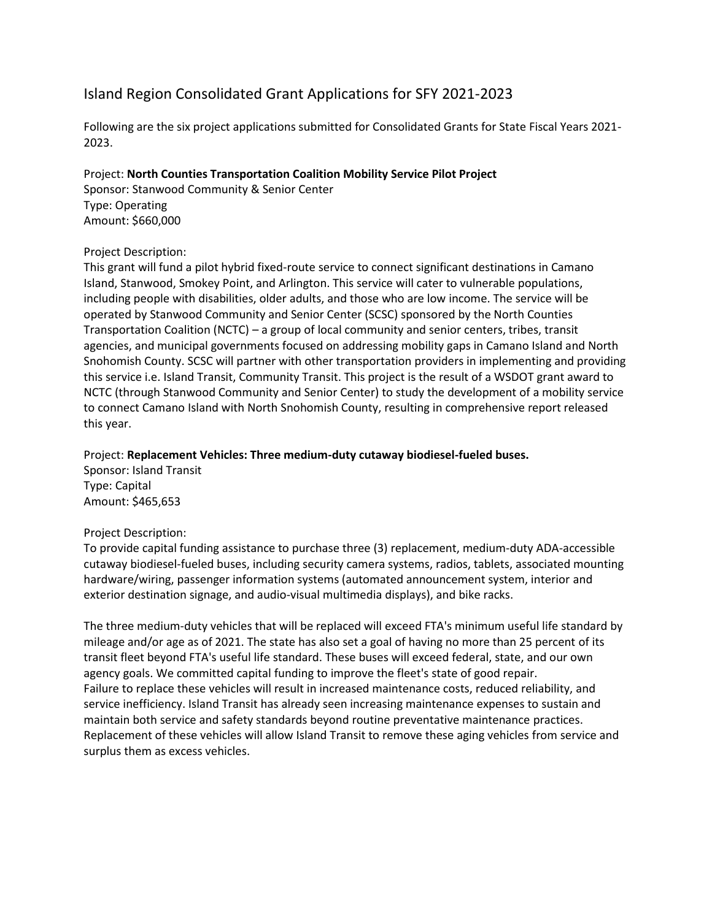# Island Region Consolidated Grant Applications for SFY 2021-2023

Following are the six project applications submitted for Consolidated Grants for State Fiscal Years 2021- 2023.

# Project: **North Counties Transportation Coalition Mobility Service Pilot Project**

Sponsor: Stanwood Community & Senior Center Type: Operating Amount: \$660,000

# Project Description:

This grant will fund a pilot hybrid fixed-route service to connect significant destinations in Camano Island, Stanwood, Smokey Point, and Arlington. This service will cater to vulnerable populations, including people with disabilities, older adults, and those who are low income. The service will be operated by Stanwood Community and Senior Center (SCSC) sponsored by the North Counties Transportation Coalition (NCTC) – a group of local community and senior centers, tribes, transit agencies, and municipal governments focused on addressing mobility gaps in Camano Island and North Snohomish County. SCSC will partner with other transportation providers in implementing and providing this service i.e. Island Transit, Community Transit. This project is the result of a WSDOT grant award to NCTC (through Stanwood Community and Senior Center) to study the development of a mobility service to connect Camano Island with North Snohomish County, resulting in comprehensive report released this year.

## Project: **Replacement Vehicles: Three medium-duty cutaway biodiesel-fueled buses.**

Sponsor: Island Transit Type: Capital Amount: \$465,653

# Project Description:

To provide capital funding assistance to purchase three (3) replacement, medium-duty ADA-accessible cutaway biodiesel-fueled buses, including security camera systems, radios, tablets, associated mounting hardware/wiring, passenger information systems (automated announcement system, interior and exterior destination signage, and audio-visual multimedia displays), and bike racks.

The three medium-duty vehicles that will be replaced will exceed FTA's minimum useful life standard by mileage and/or age as of 2021. The state has also set a goal of having no more than 25 percent of its transit fleet beyond FTA's useful life standard. These buses will exceed federal, state, and our own agency goals. We committed capital funding to improve the fleet's state of good repair. Failure to replace these vehicles will result in increased maintenance costs, reduced reliability, and service inefficiency. Island Transit has already seen increasing maintenance expenses to sustain and maintain both service and safety standards beyond routine preventative maintenance practices. Replacement of these vehicles will allow Island Transit to remove these aging vehicles from service and surplus them as excess vehicles.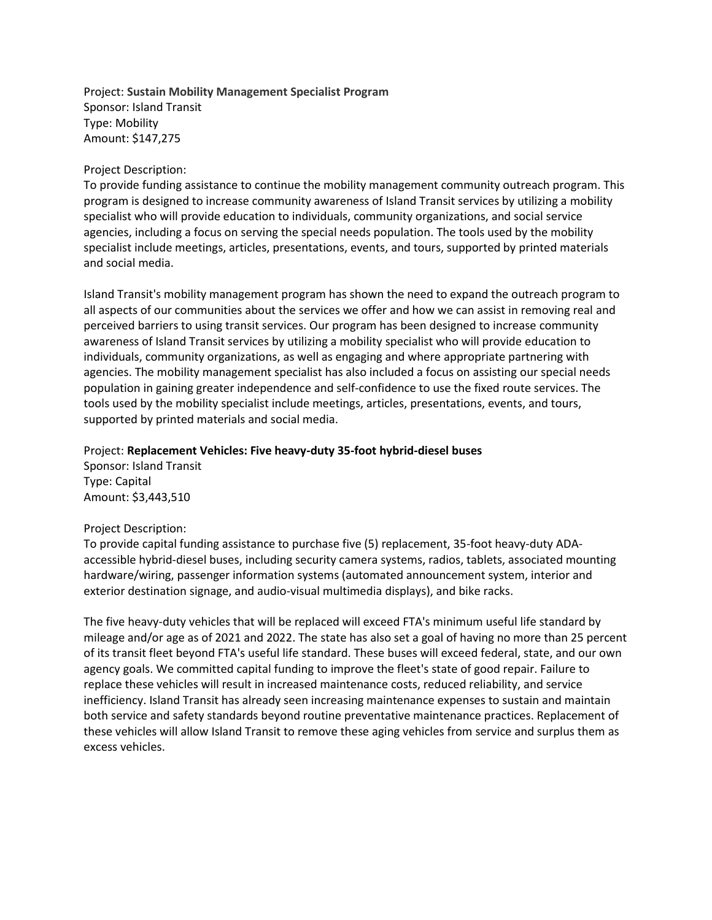Project: **Sustain Mobility Management Specialist Program** Sponsor: Island Transit Type: Mobility Amount: \$147,275

#### Project Description:

To provide funding assistance to continue the mobility management community outreach program. This program is designed to increase community awareness of Island Transit services by utilizing a mobility specialist who will provide education to individuals, community organizations, and social service agencies, including a focus on serving the special needs population. The tools used by the mobility specialist include meetings, articles, presentations, events, and tours, supported by printed materials and social media.

Island Transit's mobility management program has shown the need to expand the outreach program to all aspects of our communities about the services we offer and how we can assist in removing real and perceived barriers to using transit services. Our program has been designed to increase community awareness of Island Transit services by utilizing a mobility specialist who will provide education to individuals, community organizations, as well as engaging and where appropriate partnering with agencies. The mobility management specialist has also included a focus on assisting our special needs population in gaining greater independence and self-confidence to use the fixed route services. The tools used by the mobility specialist include meetings, articles, presentations, events, and tours, supported by printed materials and social media.

#### Project: **Replacement Vehicles: Five heavy-duty 35-foot hybrid-diesel buses**

Sponsor: Island Transit Type: Capital Amount: \$3,443,510

#### Project Description:

To provide capital funding assistance to purchase five (5) replacement, 35-foot heavy-duty ADAaccessible hybrid-diesel buses, including security camera systems, radios, tablets, associated mounting hardware/wiring, passenger information systems (automated announcement system, interior and exterior destination signage, and audio-visual multimedia displays), and bike racks.

The five heavy-duty vehicles that will be replaced will exceed FTA's minimum useful life standard by mileage and/or age as of 2021 and 2022. The state has also set a goal of having no more than 25 percent of its transit fleet beyond FTA's useful life standard. These buses will exceed federal, state, and our own agency goals. We committed capital funding to improve the fleet's state of good repair. Failure to replace these vehicles will result in increased maintenance costs, reduced reliability, and service inefficiency. Island Transit has already seen increasing maintenance expenses to sustain and maintain both service and safety standards beyond routine preventative maintenance practices. Replacement of these vehicles will allow Island Transit to remove these aging vehicles from service and surplus them as excess vehicles.